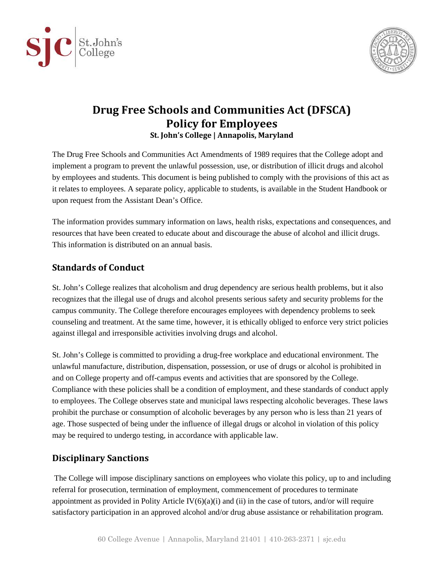



# **Drug Free Schools and Communities Act (DFSCA) Policy for Employees St. John's College | Annapolis, Maryland**

The Drug Free Schools and Communities Act Amendments of 1989 requires that the College adopt and implement a program to prevent the unlawful possession, use, or distribution of illicit drugs and alcohol by employees and students. This document is being published to comply with the provisions of this act as it relates to employees. A separate policy, applicable to students, is available in the Student Handbook or upon request from the Assistant Dean's Office.

The information provides summary information on laws, health risks, expectations and consequences, and resources that have been created to educate about and discourage the abuse of alcohol and illicit drugs. This information is distributed on an annual basis.

## **Standards of Conduct**

St. John's College realizes that alcoholism and drug dependency are serious health problems, but it also recognizes that the illegal use of drugs and alcohol presents serious safety and security problems for the campus community. The College therefore encourages employees with dependency problems to seek counseling and treatment. At the same time, however, it is ethically obliged to enforce very strict policies against illegal and irresponsible activities involving drugs and alcohol.

St. John's College is committed to providing a drug-free workplace and educational environment. The unlawful manufacture, distribution, dispensation, possession, or use of drugs or alcohol is prohibited in and on College property and off-campus events and activities that are sponsored by the College. Compliance with these policies shall be a condition of employment, and these standards of conduct apply to employees. The College observes state and municipal laws respecting alcoholic beverages. These laws prohibit the purchase or consumption of alcoholic beverages by any person who is less than 21 years of age. Those suspected of being under the influence of illegal drugs or alcohol in violation of this policy may be required to undergo testing, in accordance with applicable law.

# **Disciplinary Sanctions**

The College will impose disciplinary sanctions on employees who violate this policy, up to and including referral for prosecution, termination of employment, commencement of procedures to terminate appointment as provided in Polity Article  $IV(6)(a)(i)$  and (ii) in the case of tutors, and/or will require satisfactory participation in an approved alcohol and/or drug abuse assistance or rehabilitation program.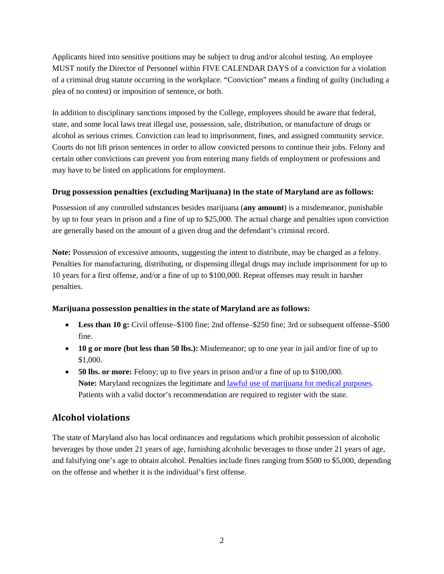Applicants hired into sensitive positions may be subject to drug and/or alcohol testing. An employee MUST notify the Director of Personnel within FIVE CALENDAR DAYS of a conviction for a violation of a criminal drug statute occurring in the workplace. "Conviction" means a finding of guilty (including a plea of no contest) or imposition of sentence, or both.

In addition to disciplinary sanctions imposed by the College, employees should be aware that federal, state, and some local laws treat illegal use, possession, sale, distribution, or manufacture of drugs or alcohol as serious crimes. Conviction can lead to imprisonment, fines, and assigned community service. Courts do not lift prison sentences in order to allow convicted persons to continue their jobs. Felony and certain other convictions can prevent you from entering many fields of employment or professions and may have to be listed on applications for employment.

#### **Drug possession penalties (excluding Marijuana) in the state of Maryland are as follows:**

Possession of any controlled substances besides marijuana (**any amount**) is a misdemeanor, punishable by up to four years in prison and a fine of up to \$25,000. The actual charge and penalties upon conviction are generally based on the amount of a given drug and the defendant's criminal record.

**Note:** Possession of excessive amounts, suggesting the intent to distribute, may be charged as a felony. Penalties for manufacturing, distributing, or dispensing illegal drugs may include imprisonment for up to 10 years for a first offense, and/or a fine of up to \$100,000. Repeat offenses may result in harsher penalties.

#### **Marijuana possession penalties in the state of Maryland are as follows:**

- Less than 10 g: Civil offense–\$100 fine; 2nd offense–\$250 fine; 3rd or subsequent offense–\$500 fine.
- **10 g or more (but less than 50 lbs.):** Misdemeanor; up to one year in jail and/or fine of up to \$1,000.
- **50 lbs. or more:** Felony; up to five years in prison and/or a fine of up to \$100,000. **Note:** Maryland recognizes the legitimate and [lawful use of marijuana for medical purposes.](http://mmcc.maryland.gov/Pages/patients.aspx) Patients with a valid doctor's recommendation are required to register with the state.

# **Alcohol violations**

The state of Maryland also has local ordinances and regulations which prohibit possession of alcoholic beverages by those under 21 years of age, furnishing alcoholic beverages to those under 21 years of age, and falsifying one's age to obtain alcohol. Penalties include fines ranging from \$500 to \$5,000, depending on the offense and whether it is the individual's first offense.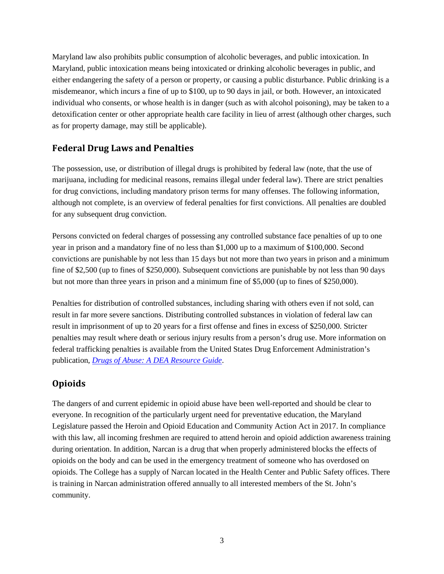Maryland law also prohibits public consumption of alcoholic beverages, and public intoxication. In Maryland, public intoxication means being intoxicated or drinking alcoholic beverages in public, and either endangering the safety of a person or property, or causing a public disturbance. Public drinking is a misdemeanor, which incurs a fine of up to \$100, up to 90 days in jail, or both. However, an intoxicated individual who consents, or whose health is in danger (such as with alcohol poisoning), may be taken to a detoxification center or other appropriate health care facility in lieu of arrest (although other charges, such as for property damage, may still be applicable).

### **Federal Drug Laws and Penalties**

The possession, use, or distribution of illegal drugs is prohibited by federal law (note, that the use of marijuana, including for medicinal reasons, remains illegal under federal law). There are strict penalties for drug convictions, including mandatory prison terms for many offenses. The following information, although not complete, is an overview of federal penalties for first convictions. All penalties are doubled for any subsequent drug conviction.

Persons convicted on federal charges of possessing any controlled substance face penalties of up to one year in prison and a mandatory fine of no less than \$1,000 up to a maximum of \$100,000. Second convictions are punishable by not less than 15 days but not more than two years in prison and a minimum fine of \$2,500 (up to fines of \$250,000). Subsequent convictions are punishable by not less than 90 days but not more than three years in prison and a minimum fine of \$5,000 (up to fines of \$250,000).

Penalties for distribution of controlled substances, including sharing with others even if not sold, can result in far more severe sanctions. Distributing controlled substances in violation of federal law can result in imprisonment of up to 20 years for a first offense and fines in excess of \$250,000. Stricter penalties may result where death or serious injury results from a person's drug use. More information on federal trafficking penalties is available from the United States Drug Enforcement Administration's publication, *[Drugs of Abuse: A DEA Resource Guide](https://www.dea.gov/sites/default/files/drug_of_abuse.pdf)*.

# **Opioids**

The dangers of and current epidemic in opioid abuse have been well-reported and should be clear to everyone. In recognition of the particularly urgent need for preventative education, the Maryland Legislature passed the Heroin and Opioid Education and Community Action Act in 2017. In compliance with this law, all incoming freshmen are required to attend heroin and opioid addiction awareness training during orientation. In addition, Narcan is a drug that when properly administered blocks the effects of opioids on the body and can be used in the emergency treatment of someone who has overdosed on opioids. The College has a supply of Narcan located in the Health Center and Public Safety offices. There is training in Narcan administration offered annually to all interested members of the St. John's community.